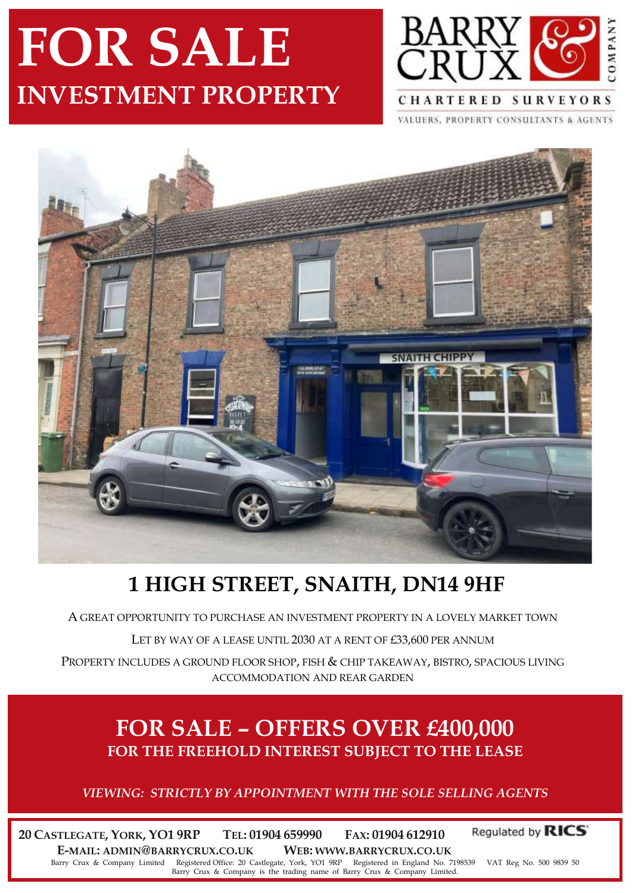# **FOR SALE INVESTMENT PROPERTY**



VALUERS, PROPERTY CONSULTANTS & AGENTS



# **1 HIGH STREET, SNAITH, DN14 9HF**

A GREAT OPPORTUNITY TO PURCHASE AN INVESTMENT PROPERTY IN A LOVELY MARKET TOWN

LET BY WAY OF A LEASE UNTIL 2030 AT A RENT OF £33,600 PER ANNUM

PROPERTY INCLUDES A GROUND FLOOR SHOP, FISH & CHIP TAKEAWAY, BISTRO, SPACIOUS LIVING ACCOMMODATION AND REAR GARDEN

## **FOR SALE – OFFERS OVER £400,000 FOR THE FREEHOLD INTEREST SUBJECT TO THE LEASE**

*VIEWING: STRICTLY BY APPOINTMENT WITH THE SOLE SELLING AGENTS*

**20 CASTLEGATE, YORK, YO1 9RP TEL: 01904 659990 FAX: 01904 612910** 

Regulated by RICS

**E-MAIL: ADMIN@BARRYCRUX.CO.UK WEB: WWW.BARRYCRUX.CO.UK** Barry Crux & Company Limited Registered Office: 20 Castlegate, York, YO1 9RP Registered in England No. 7198539 VAT Reg No. 500 9839 50 Barry Crux & Company is the trading name of Barry Crux & Company Limited.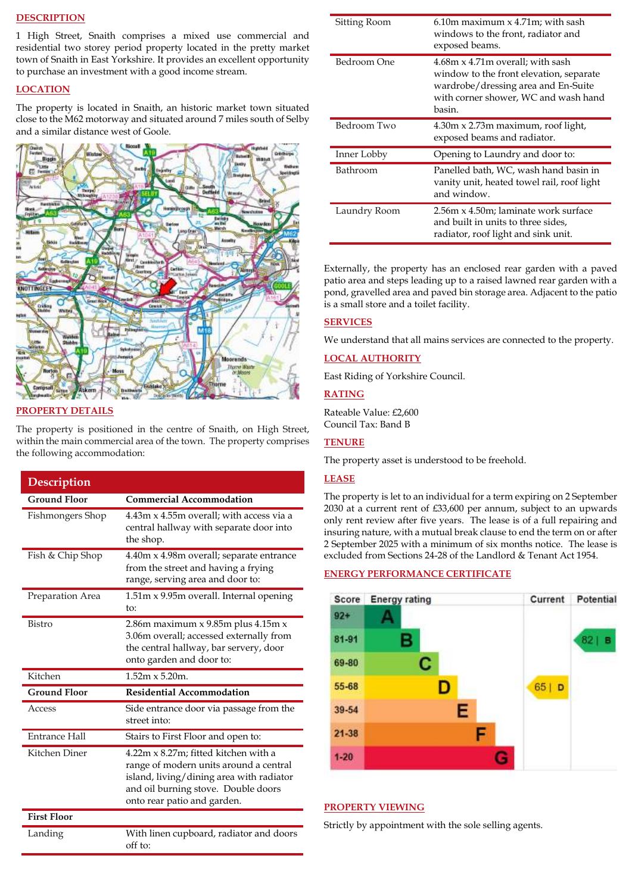#### **DESCRIPTION**

1 High Street, Snaith comprises a mixed use commercial and residential two storey period property located in the pretty market town of Snaith in East Yorkshire. It provides an excellent opportunity to purchase an investment with a good income stream.

#### **LOCATION**

The property is located in Snaith, an historic market town situated close to the M62 motorway and situated around 7 miles south of Selby and a similar distance west of Goole.



#### **PROPERTY DETAILS**

The property is positioned in the centre of Snaith, on High Street, within the main commercial area of the town. The property comprises the following accommodation:

| Description          |                                                                                                                                                                                                  |
|----------------------|--------------------------------------------------------------------------------------------------------------------------------------------------------------------------------------------------|
| <b>Ground Floor</b>  | <b>Commercial Accommodation</b>                                                                                                                                                                  |
| Fishmongers Shop     | 4.43m x 4.55m overall; with access via a<br>central hallway with separate door into<br>the shop.                                                                                                 |
| Fish & Chip Shop     | 4.40m x 4.98m overall; separate entrance<br>from the street and having a frying<br>range, serving area and door to:                                                                              |
| Preparation Area     | 1.51m x 9.95m overall. Internal opening<br>to:                                                                                                                                                   |
| Bistro               | 2.86m maximum x 9.85m plus $4.15m x$<br>3.06m overall; accessed externally from<br>the central hallway, bar servery, door<br>onto garden and door to:                                            |
|                      |                                                                                                                                                                                                  |
| Kitchen              | $1.52m \times 5.20m$ .                                                                                                                                                                           |
| <b>Ground Floor</b>  | <b>Residential Accommodation</b>                                                                                                                                                                 |
| Access               | Side entrance door via passage from the<br>street into:                                                                                                                                          |
| <b>Entrance Hall</b> | Stairs to First Floor and open to:                                                                                                                                                               |
| Kitchen Diner        | 4.22m x 8.27m; fitted kitchen with a<br>range of modern units around a central<br>island, living/dining area with radiator<br>and oil burning stove. Double doors<br>onto rear patio and garden. |
| <b>First Floor</b>   |                                                                                                                                                                                                  |

| <b>Sitting Room</b> | $6.10m$ maximum x $4.71m$ ; with sash<br>windows to the front, radiator and<br>exposed beams.                                                                        |
|---------------------|----------------------------------------------------------------------------------------------------------------------------------------------------------------------|
| Bedroom One         | 4.68m x 4.71m overall; with sash<br>window to the front elevation, separate<br>wardrobe/dressing area and En-Suite<br>with corner shower, WC and wash hand<br>basin. |
| Bedroom Two         | 4.30m x 2.73m maximum, roof light,<br>exposed beams and radiator.                                                                                                    |
| Inner Lobby         | Opening to Laundry and door to:                                                                                                                                      |
| Bathroom            | Panelled bath, WC, wash hand basin in<br>vanity unit, heated towel rail, roof light<br>and window.                                                                   |
| Laundry Room        | 2.56m x 4.50m; laminate work surface<br>and built in units to three sides,<br>radiator, roof light and sink unit.                                                    |

Externally, the property has an enclosed rear garden with a paved patio area and steps leading up to a raised lawned rear garden with a pond, gravelled area and paved bin storage area. Adjacent to the patio is a small store and a toilet facility.

## **SERVICES**

We understand that all mains services are connected to the property.

#### **LOCAL AUTHORITY**

East Riding of Yorkshire Council.

## **RATING**

Rateable Value: £2,600 Council Tax: Band B

#### **TENURE**

The property asset is understood to be freehold.

#### **LEASE**

The property is let to an individual for a term expiring on 2 September 2030 at a current rent of £33,600 per annum, subject to an upwards only rent review after five years. The lease is of a full repairing and insuring nature, with a mutual break clause to end the term on or after 2 September 2025 with a minimum of six months notice. The lease is excluded from Sections 24-28 of the Landlord & Tenant Act 1954.

#### **ENERGY PERFORMANCE CERTIFICATE**



## **PROPERTY VIEWING**

Strictly by appointment with the sole selling agents.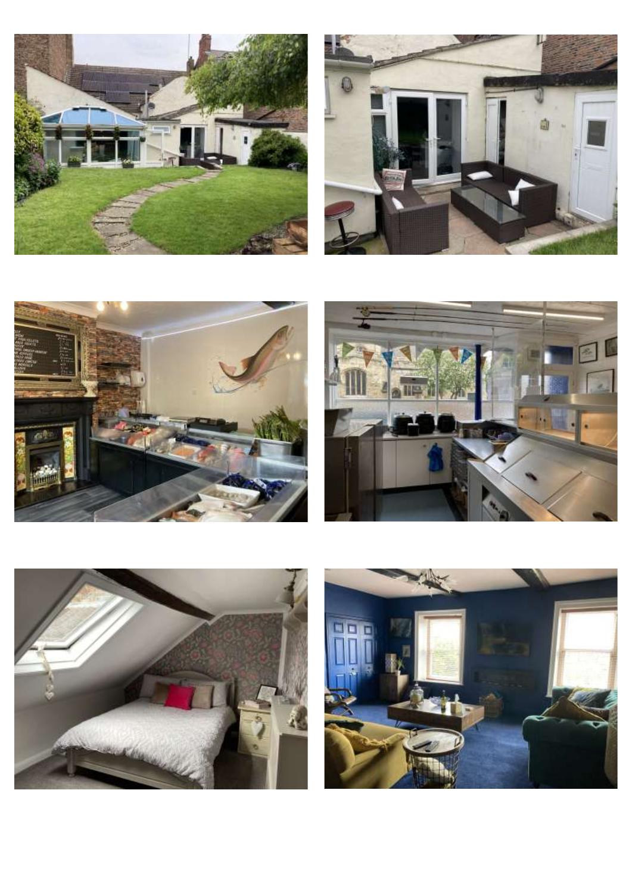